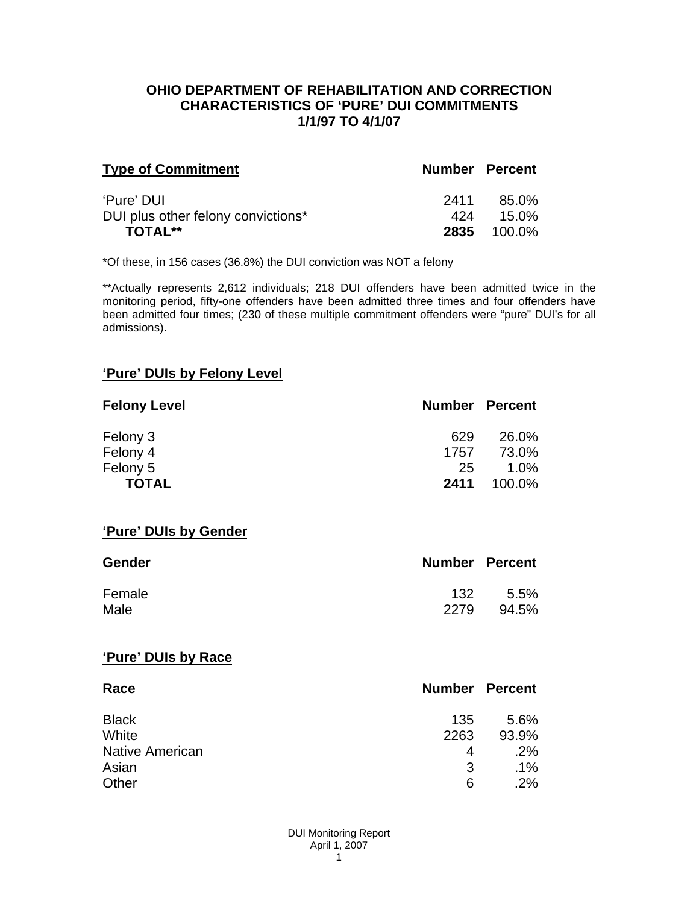### **OHIO DEPARTMENT OF REHABILITATION AND CORRECTION CHARACTERISTICS OF 'PURE' DUI COMMITMENTS 1/1/97 TO 4/1/07**

| <b>Type of Commitment</b>          | <b>Number Percent</b> |                    |
|------------------------------------|-----------------------|--------------------|
| 'Pure' DUI                         | 2411                  | 85.0%              |
| DUI plus other felony convictions* | 424                   | $15.0\%$           |
| <b>TOTAL**</b>                     |                       | <b>2835</b> 100.0% |

\*Of these, in 156 cases (36.8%) the DUI conviction was NOT a felony

\*\*Actually represents 2,612 individuals; 218 DUI offenders have been admitted twice in the monitoring period, fifty-one offenders have been admitted three times and four offenders have been admitted four times; (230 of these multiple commitment offenders were "pure" DUI's for all admissions).

## **'Pure' DUIs by Felony Level**

| <b>Felony Level</b> | <b>Number Percent</b> |         |
|---------------------|-----------------------|---------|
| Felony 3            | 629                   | 26.0%   |
| Felony 4            | 1757                  | 73.0%   |
| Felony 5            | 25                    | $1.0\%$ |
| <b>TOTAL</b>        | 2411                  | 100.0%  |

#### **'Pure' DUIs by Gender**

| Gender | <b>Number Percent</b> |       |
|--------|-----------------------|-------|
| Female | 132                   | 5.5%  |
| Male   | 2279                  | 94.5% |

#### **'Pure' DUIs by Race**

| Race                   | <b>Number Percent</b> |        |
|------------------------|-----------------------|--------|
| <b>Black</b>           | 135                   | 5.6%   |
| White                  | 2263                  | 93.9%  |
| <b>Native American</b> | 4                     | .2%    |
| Asian                  | 3                     | $.1\%$ |
| Other                  | 6                     | .2%    |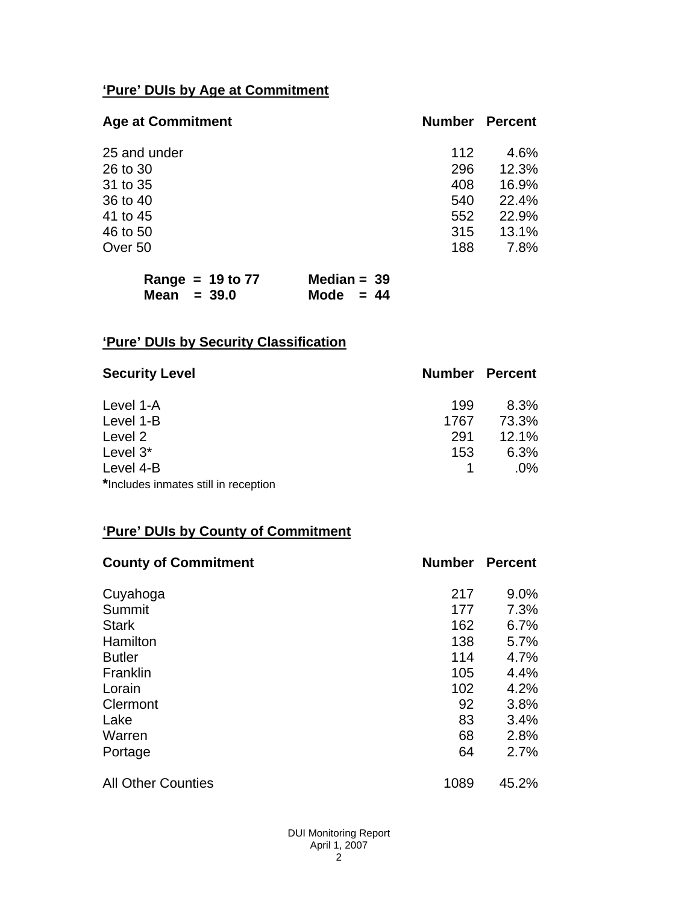# **'Pure' DUIs by Age at Commitment**

| <b>Age at Commitment</b> | <b>Number</b> | <b>Percent</b> |
|--------------------------|---------------|----------------|
| 25 and under             | 112           | 4.6%           |
| 26 to 30                 | 296           | 12.3%          |
| 31 to 35                 | 408           | 16.9%          |
| 36 to 40                 | 540           | 22.4%          |
| 41 to 45                 | 552           | 22.9%          |
| 46 to 50                 | 315           | 13.1%          |
| Over 50                  | 188           | 7.8%           |

| Range = $19$ to $77$ | Median = $39$ |  |
|----------------------|---------------|--|
| Mean $=$ 39.0        | Mode $= 44$   |  |

# **'Pure' DUIs by Security Classification**

| <b>Security Level</b>                | <b>Number Percent</b> |        |
|--------------------------------------|-----------------------|--------|
| Level 1-A                            | 199                   | 8.3%   |
| Level 1-B                            | 1767                  | 73.3%  |
| Level 2                              | 291                   | 12.1%  |
| Level 3*                             | 153                   | 6.3%   |
| Level 4-B                            |                       | $.0\%$ |
| *Includes inmates still in reception |                       |        |

# **'Pure' DUIs by County of Commitment**

| <b>County of Commitment</b> | <b>Number</b> | <b>Percent</b> |
|-----------------------------|---------------|----------------|
| Cuyahoga                    | 217           | 9.0%           |
| Summit                      | 177           | 7.3%           |
| <b>Stark</b>                | 162           | 6.7%           |
| Hamilton                    | 138           | 5.7%           |
| <b>Butler</b>               | 114           | 4.7%           |
| Franklin                    | 105           | 4.4%           |
| Lorain                      | 102           | 4.2%           |
| Clermont                    | 92            | 3.8%           |
| Lake                        | 83            | 3.4%           |
| Warren                      | 68            | 2.8%           |
| Portage                     | 64            | 2.7%           |
| <b>All Other Counties</b>   | 1089          | 45.2%          |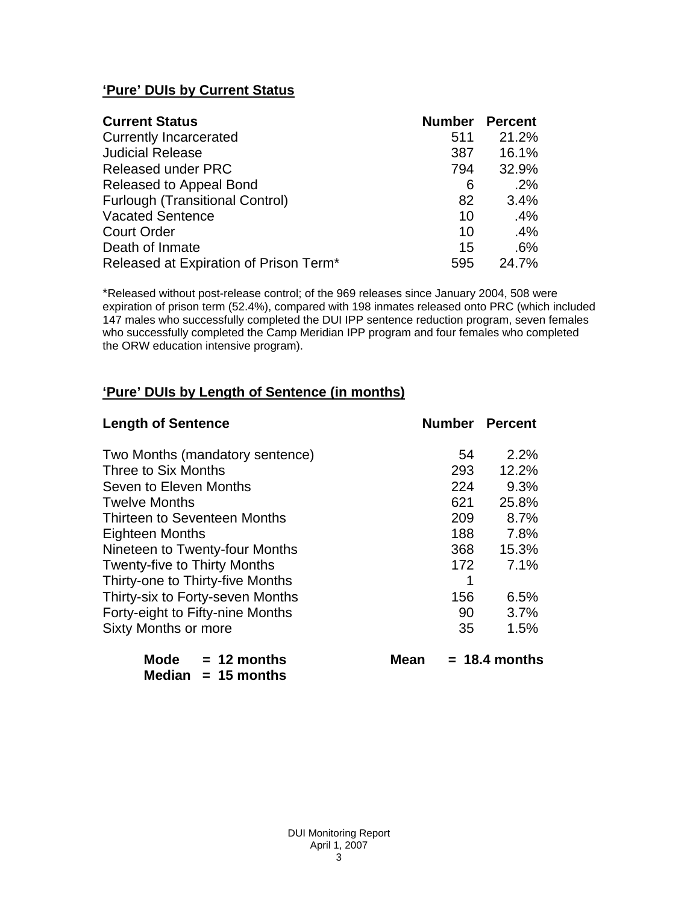# **'Pure' DUIs by Current Status**

| <b>Current Status</b>                  | <b>Number Percent</b> |        |
|----------------------------------------|-----------------------|--------|
| <b>Currently Incarcerated</b>          | 511                   | 21.2%  |
| <b>Judicial Release</b>                | 387                   | 16.1%  |
| <b>Released under PRC</b>              | 794                   | 32.9%  |
| Released to Appeal Bond                | 6                     | .2%    |
| <b>Furlough (Transitional Control)</b> | 82                    | 3.4%   |
| <b>Vacated Sentence</b>                | 10                    | $.4\%$ |
| <b>Court Order</b>                     | 10                    | .4%    |
| Death of Inmate                        | 15                    | .6%    |
| Released at Expiration of Prison Term* | 595                   | 24.7%  |

\*Released without post-release control; of the 969 releases since January 2004, 508 were expiration of prison term (52.4%), compared with 198 inmates released onto PRC (which included 147 males who successfully completed the DUI IPP sentence reduction program, seven females who successfully completed the Camp Meridian IPP program and four females who completed the ORW education intensive program).

# **'Pure' DUIs by Length of Sentence (in months)**

| <b>Length of Sentence</b>           | <b>Number Percent</b> |                 |
|-------------------------------------|-----------------------|-----------------|
| Two Months (mandatory sentence)     | 54                    | 2.2%            |
| Three to Six Months                 | 293                   | 12.2%           |
| Seven to Eleven Months              | 224                   | 9.3%            |
| <b>Twelve Months</b>                | 621                   | 25.8%           |
| Thirteen to Seventeen Months        | 209                   | 8.7%            |
| <b>Eighteen Months</b>              | 188                   | 7.8%            |
| Nineteen to Twenty-four Months      | 368                   | 15.3%           |
| <b>Twenty-five to Thirty Months</b> | 172                   | 7.1%            |
| Thirty-one to Thirty-five Months    | 1                     |                 |
| Thirty-six to Forty-seven Months    | 156                   | 6.5%            |
| Forty-eight to Fifty-nine Months    | 90                    | 3.7%            |
| Sixty Months or more                | 35                    | 1.5%            |
| Mode $= 12$ months<br>Mean          |                       | $= 18.4$ months |

 **Median = 15 months**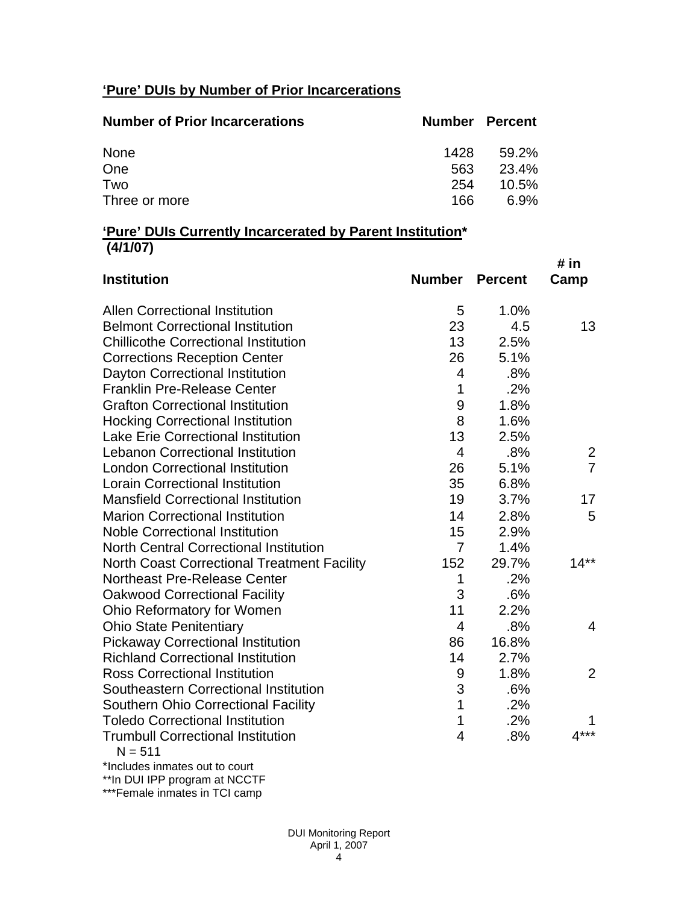# **'Pure' DUIs by Number of Prior Incarcerations**

| <b>Number of Prior Incarcerations</b> | <b>Number Percent</b> |          |
|---------------------------------------|-----------------------|----------|
| None                                  | 1428                  | 59.2%    |
| One                                   | 563                   | 23.4%    |
| Two                                   | 254                   | $10.5\%$ |
| Three or more                         | 166                   | 6.9%     |

### **'Pure' DUIs Currently Incarcerated by Parent Institution\* (4/1/07)**

|                                                       |                |                | # in           |
|-------------------------------------------------------|----------------|----------------|----------------|
| <b>Institution</b>                                    | <b>Number</b>  | <b>Percent</b> | Camp           |
| <b>Allen Correctional Institution</b>                 | 5              | 1.0%           |                |
| <b>Belmont Correctional Institution</b>               | 23             | 4.5            | 13             |
| <b>Chillicothe Correctional Institution</b>           | 13             | 2.5%           |                |
| <b>Corrections Reception Center</b>                   | 26             | 5.1%           |                |
| Dayton Correctional Institution                       | $\overline{4}$ | .8%            |                |
| <b>Franklin Pre-Release Center</b>                    | 1              | .2%            |                |
| <b>Grafton Correctional Institution</b>               | 9              | 1.8%           |                |
| <b>Hocking Correctional Institution</b>               | 8              | 1.6%           |                |
| <b>Lake Erie Correctional Institution</b>             | 13             | 2.5%           |                |
| <b>Lebanon Correctional Institution</b>               | $\overline{4}$ | .8%            | 2              |
| <b>London Correctional Institution</b>                | 26             | 5.1%           | $\overline{7}$ |
| <b>Lorain Correctional Institution</b>                | 35             | 6.8%           |                |
| <b>Mansfield Correctional Institution</b>             | 19             | 3.7%           | 17             |
| <b>Marion Correctional Institution</b>                | 14             | 2.8%           | 5              |
| <b>Noble Correctional Institution</b>                 | 15             | 2.9%           |                |
| <b>North Central Correctional Institution</b>         | $\overline{7}$ | 1.4%           |                |
| <b>North Coast Correctional Treatment Facility</b>    | 152            | 29.7%          | $14**$         |
| Northeast Pre-Release Center                          | 1              | .2%            |                |
| <b>Oakwood Correctional Facility</b>                  | 3              | .6%            |                |
| Ohio Reformatory for Women                            | 11             | 2.2%           |                |
| <b>Ohio State Penitentiary</b>                        | $\overline{4}$ | .8%            | 4              |
| <b>Pickaway Correctional Institution</b>              | 86             | 16.8%          |                |
| <b>Richland Correctional Institution</b>              | 14             | 2.7%           |                |
| <b>Ross Correctional Institution</b>                  | 9              | 1.8%           | $\overline{2}$ |
| Southeastern Correctional Institution                 | 3              | .6%            |                |
| <b>Southern Ohio Correctional Facility</b>            | 1              | .2%            |                |
| <b>Toledo Correctional Institution</b>                | 1              | .2%            |                |
| <b>Trumbull Correctional Institution</b><br>$N = 511$ | $\overline{4}$ | .8%            | $4***$         |
|                                                       |                |                |                |

\*Includes inmates out to court

\*\*In DUI IPP program at NCCTF

\*\*\*Female inmates in TCI camp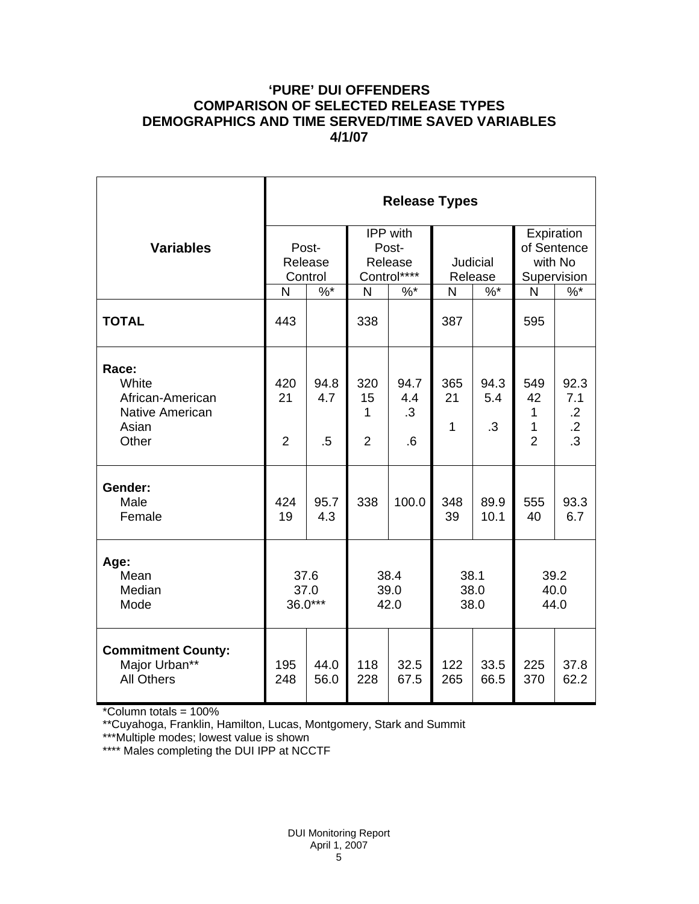### **'PURE' DUI OFFENDERS COMPARISON OF SELECTED RELEASE TYPES DEMOGRAPHICS AND TIME SERVED/TIME SAVED VARIABLES 4/1/07**

|                                                                         | <b>Release Types</b>        |                       |                                                    |                          |                            |                          |                                                     |                                                                |  |  |
|-------------------------------------------------------------------------|-----------------------------|-----------------------|----------------------------------------------------|--------------------------|----------------------------|--------------------------|-----------------------------------------------------|----------------------------------------------------------------|--|--|
| <b>Variables</b>                                                        | Post-<br>Release<br>Control |                       | <b>IPP</b> with<br>Post-<br>Release<br>Control**** |                          | <b>Judicial</b><br>Release |                          | Expiration<br>of Sentence<br>with No<br>Supervision |                                                                |  |  |
|                                                                         | N                           | $\%$ *                | N                                                  | $%^*$                    | N                          | $\%$ *                   | N                                                   | $\%$                                                           |  |  |
| <b>TOTAL</b>                                                            | 443                         |                       | 338                                                |                          | 387                        |                          | 595                                                 |                                                                |  |  |
| Race:<br>White<br>African-American<br>Native American<br>Asian<br>Other | 420<br>21<br>$\overline{2}$ | 94.8<br>4.7<br>$.5\,$ | 320<br>15<br>1<br>$\overline{2}$                   | 94.7<br>4.4<br>.3<br>6.6 | 365<br>21<br>$\mathbf{1}$  | 94.3<br>5.4<br>$\cdot$ 3 | 549<br>42<br>1<br>1<br>$\overline{2}$               | 92.3<br>7.1<br>$\cdot$ .2<br>$\overline{.2}$<br>$\overline{3}$ |  |  |
| Gender:<br>Male<br>Female                                               | 424<br>19                   | 95.7<br>4.3           | 338                                                | 100.0                    | 348<br>39                  | 89.9<br>10.1             | 555<br>40                                           | 93.3<br>6.7                                                    |  |  |
| Age:<br>Mean<br>Median<br>Mode                                          | 37.6<br>37.0<br>$36.0***$   |                       |                                                    | 38.4<br>39.0<br>42.0     |                            | 38.1<br>38.0<br>38.0     |                                                     | 39.2<br>40.0<br>44.0                                           |  |  |
| <b>Commitment County:</b><br>Major Urban**<br><b>All Others</b>         | 195<br>248                  | 44.0<br>56.0          | 118<br>228                                         | 32.5<br>67.5             | 122<br>265                 | 33.5<br>66.5             | 225<br>370                                          | 37.8<br>62.2                                                   |  |  |

\*Column totals = 100%

\*\*Cuyahoga, Franklin, Hamilton, Lucas, Montgomery, Stark and Summit

\*\*\*Multiple modes; lowest value is shown

\*\*\*\* Males completing the DUI IPP at NCCTF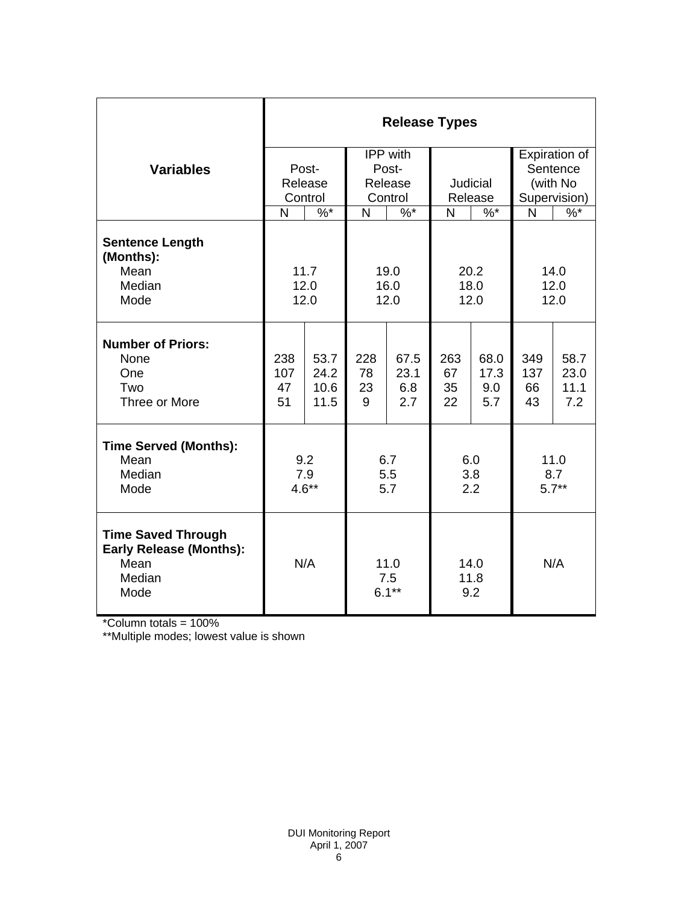|                                                                                       | <b>Release Types</b>                         |                              |                         |                            |                        |                            |                           |                             |  |  |
|---------------------------------------------------------------------------------------|----------------------------------------------|------------------------------|-------------------------|----------------------------|------------------------|----------------------------|---------------------------|-----------------------------|--|--|
| <b>Variables</b>                                                                      | Post-                                        |                              | IPP with<br>Post-       |                            |                        |                            | Expiration of<br>Sentence |                             |  |  |
|                                                                                       | Release<br>Control                           |                              | Release<br>Control      |                            | Judicial<br>Release    |                            | (with No<br>Supervision)  |                             |  |  |
|                                                                                       | $\frac{9}{6}$<br>N                           |                              | $\frac{9}{6}$<br>N      |                            | $\%$ *<br>$\mathsf{N}$ |                            | N                         | $\%$ *                      |  |  |
| <b>Sentence Length</b><br>(Months):<br>Mean<br>Median<br>Mode                         | 11.7<br>19.0<br>12.0<br>16.0<br>12.0<br>12.0 |                              | 20.2<br>18.0<br>12.0    |                            | 14.0<br>12.0<br>12.0   |                            |                           |                             |  |  |
| <b>Number of Priors:</b><br>None<br>One<br>Two<br>Three or More                       | 238<br>107<br>47<br>51                       | 53.7<br>24.2<br>10.6<br>11.5 | 228<br>78<br>23<br>9    | 67.5<br>23.1<br>6.8<br>2.7 | 263<br>67<br>35<br>22  | 68.0<br>17.3<br>9.0<br>5.7 | 349<br>137<br>66<br>43    | 58.7<br>23.0<br>11.1<br>7.2 |  |  |
| <b>Time Served (Months):</b><br>Mean<br>Median<br>Mode                                | 9.2<br>7.9<br>$4.6***$                       |                              | 6.7<br>5.5<br>5.7       |                            | 6.0<br>3.8<br>2.2      |                            | 11.0<br>8.7<br>$5.7**$    |                             |  |  |
| <b>Time Saved Through</b><br><b>Early Release (Months):</b><br>Mean<br>Median<br>Mode | N/A                                          |                              | 11.0<br>7.5<br>$6.1***$ |                            | 14.0<br>11.8<br>9.2    |                            | N/A                       |                             |  |  |

\*Column totals = 100%

\*\*Multiple modes; lowest value is shown